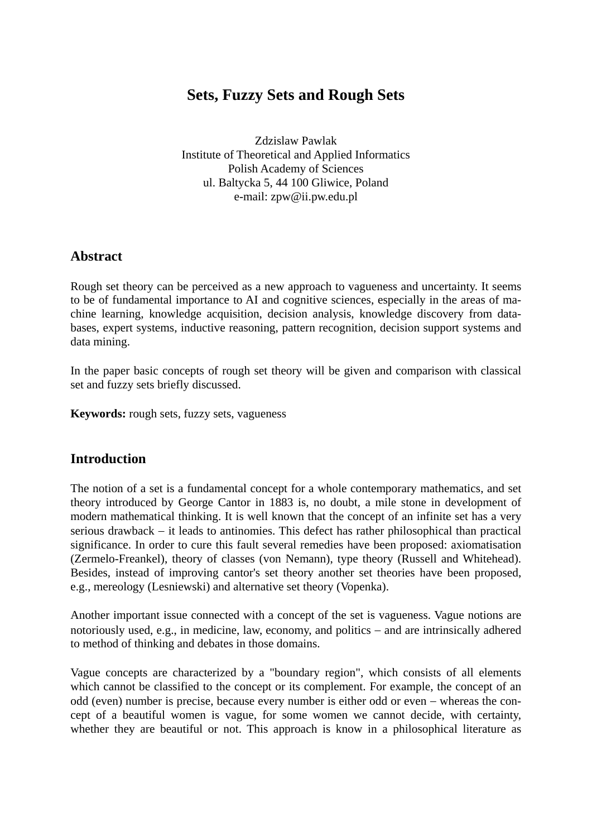# **Sets, Fuzzy Sets and Rough Sets**

Zdzislaw Pawlak Institute of Theoretical and Applied Informatics Polish Academy of Sciences ul. Baltycka 5, 44 100 Gliwice, Poland e-mail: zpw@ii.pw.edu.pl

### **Abstract**

Rough set theory can be perceived as a new approach to vagueness and uncertainty. It seems to be of fundamental importance to AI and cognitive sciences, especially in the areas of machine learning, knowledge acquisition, decision analysis, knowledge discovery from databases, expert systems, inductive reasoning, pattern recognition, decision support systems and data mining.

In the paper basic concepts of rough set theory will be given and comparison with classical set and fuzzy sets briefly discussed.

**Keywords:** rough sets, fuzzy sets, vagueness

### **Introduction**

The notion of a set is a fundamental concept for a whole contemporary mathematics, and set theory introduced by George Cantor in 1883 is, no doubt, a mile stone in development of modern mathematical thinking. It is well known that the concept of an infinite set has a very serious drawback – it leads to antinomies. This defect has rather philosophical than practical significance. In order to cure this fault several remedies have been proposed: axiomatisation (Zermelo-Freankel), theory of classes (von Nemann), type theory (Russell and Whitehead). Besides, instead of improving cantor's set theory another set theories have been proposed, e.g., mereology (Lesniewski) and alternative set theory (Vopenka).

Another important issue connected with a concept of the set is vagueness. Vague notions are notoriously used, e.g., in medicine, law, economy, and politics − and are intrinsically adhered to method of thinking and debates in those domains.

Vague concepts are characterized by a "boundary region", which consists of all elements which cannot be classified to the concept or its complement. For example, the concept of an odd (even) number is precise, because every number is either odd or even − whereas the concept of a beautiful women is vague, for some women we cannot decide, with certainty, whether they are beautiful or not. This approach is know in a philosophical literature as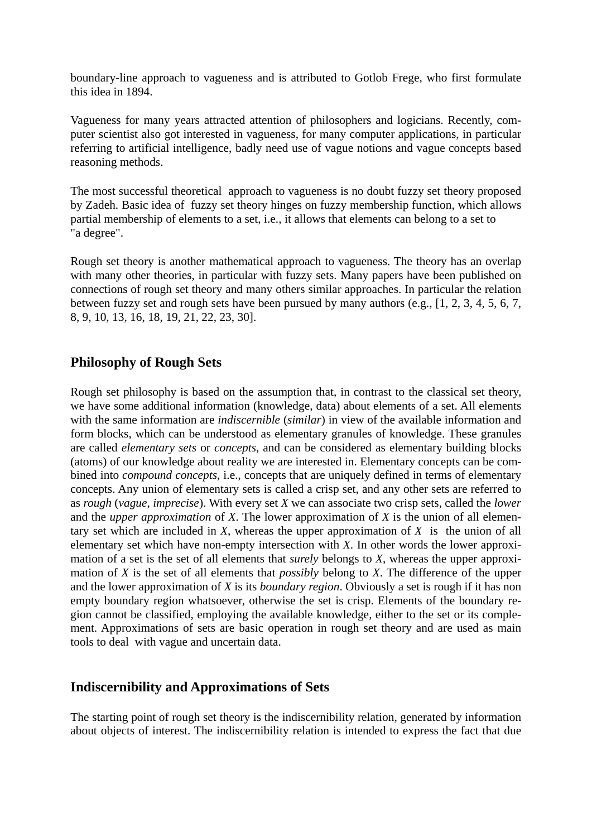boundary-line approach to vagueness and is attributed to Gotlob Frege, who first formulate this idea in 1894.

Vagueness for many years attracted attention of philosophers and logicians. Recently, computer scientist also got interested in vagueness, for many computer applications, in particular referring to artificial intelligence, badly need use of vague notions and vague concepts based reasoning methods.

The most successful theoretical approach to vagueness is no doubt fuzzy set theory proposed by Zadeh. Basic idea of fuzzy set theory hinges on fuzzy membership function, which allows partial membership of elements to a set, i.e., it allows that elements can belong to a set to "a degree".

Rough set theory is another mathematical approach to vagueness. The theory has an overlap with many other theories, in particular with fuzzy sets. Many papers have been published on connections of rough set theory and many others similar approaches. In particular the relation between fuzzy set and rough sets have been pursued by many authors (e.g., [1, 2, 3, 4, 5, 6, 7, 8, 9, 10, 13, 16, 18, 19, 21, 22, 23, 30].

## **Philosophy of Rough Sets**

Rough set philosophy is based on the assumption that, in contrast to the classical set theory, we have some additional information (knowledge, data) about elements of a set. All elements with the same information are *indiscernible* (*similar*) in view of the available information and form blocks, which can be understood as elementary granules of knowledge. These granules are called *elementary sets* or *concepts*, and can be considered as elementary building blocks (atoms) of our knowledge about reality we are interested in. Elementary concepts can be combined into *compound concepts*, i.e., concepts that are uniquely defined in terms of elementary concepts. Any union of elementary sets is called a crisp set, and any other sets are referred to as *rough* (*vague*, *imprecise*). With every set *X* we can associate two crisp sets, called the *lower* and the *upper approximation* of *X*. The lower approximation of *X* is the union of all elementary set which are included in *X*, whereas the upper approximation of *X* is the union of all elementary set which have non-empty intersection with *X*. In other words the lower approximation of a set is the set of all elements that *surely* belongs to *X*, whereas the upper approximation of *X* is the set of all elements that *possibly* belong to *X*. The difference of the upper and the lower approximation of *X* is its *boundary region*. Obviously a set is rough if it has non empty boundary region whatsoever, otherwise the set is crisp. Elements of the boundary region cannot be classified, employing the available knowledge, either to the set or its complement. Approximations of sets are basic operation in rough set theory and are used as main tools to deal with vague and uncertain data.

### **Indiscernibility and Approximations of Sets**

The starting point of rough set theory is the indiscernibility relation, generated by information about objects of interest. The indiscernibility relation is intended to express the fact that due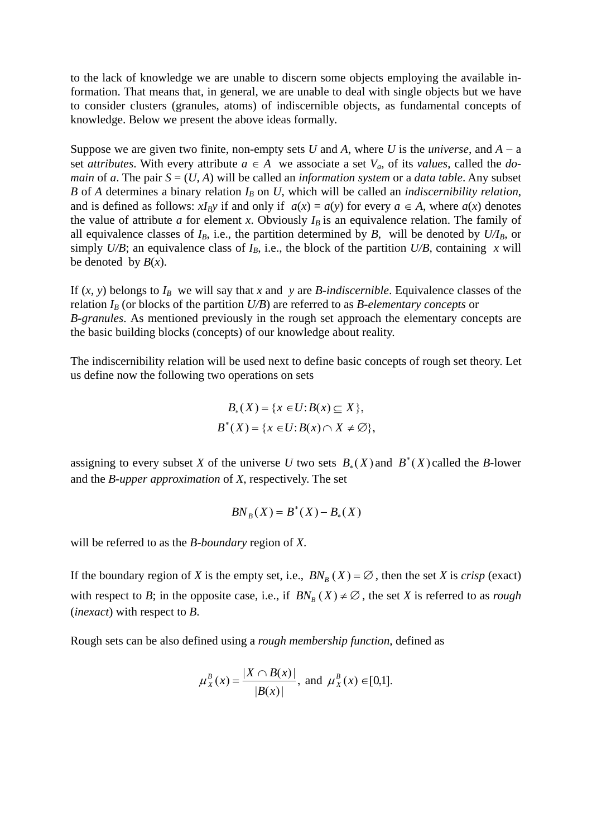to the lack of knowledge we are unable to discern some objects employing the available information. That means that, in general, we are unable to deal with single objects but we have to consider clusters (granules, atoms) of indiscernible objects, as fundamental concepts of knowledge. Below we present the above ideas formally.

Suppose we are given two finite, non-empty sets *U* and *A*, where *U* is the *universe*, and  $A - a$ set *attributes*. With every attribute  $a \in A$  we associate a set  $V_a$ , of its *values*, called the *domain* of *a*. The pair  $S = (U, A)$  will be called an *information system* or a *data table*. Any subset *B* of *A* determines a binary relation  $I_B$  on *U*, which will be called an *indiscernibility relation*, and is defined as follows:  $xI_By$  if and only if  $a(x) = a(y)$  for every  $a \in A$ , where  $a(x)$  denotes the value of attribute  $a$  for element  $x$ . Obviously  $I_B$  is an equivalence relation. The family of all equivalence classes of  $I_B$ , i.e., the partition determined by *B*, will be denoted by  $U/I_B$ , or simply  $U/B$ ; an equivalence class of  $I_B$ , i.e., the block of the partition  $U/B$ , containing *x* will be denoted by  $B(x)$ .

If  $(x, y)$  belongs to  $I_B$  we will say that *x* and *y* are *B-indiscernible*. Equivalence classes of the relation  $I_B$  (or blocks of the partition  $U/B$ ) are referred to as *B*-elementary concepts or *B-granules*. As mentioned previously in the rough set approach the elementary concepts are the basic building blocks (concepts) of our knowledge about reality.

The indiscernibility relation will be used next to define basic concepts of rough set theory. Let us define now the following two operations on sets

$$
B_*(X) = \{x \in U : B(x) \subseteq X\},\
$$
  

$$
B^*(X) = \{x \in U : B(x) \cap X \neq \emptyset\},\
$$

assigning to every subset *X* of the universe *U* two sets  $B_*(X)$  and  $B^*(X)$  called the *B*-lower and the *B-upper approximation* of *X*, respectively. The set

$$
BN_B(X) = B^*(X) - B_*(X)
$$

will be referred to as the *B-boundary* region of *X*.

If the boundary region of *X* is the empty set, i.e.,  $BN_B(X) = \emptyset$ , then the set *X* is *crisp* (exact) with respect to *B*; in the opposite case, i.e., if  $BN_B(X) \neq \emptyset$ , the set *X* is referred to as *rough* (*inexact*) with respect to *B*.

Rough sets can be also defined using a *rough membership function*, defined as

$$
\mu_X^B(x) = \frac{|X \cap B(x)|}{|B(x)|}
$$
, and  $\mu_X^B(x) \in [0,1]$ .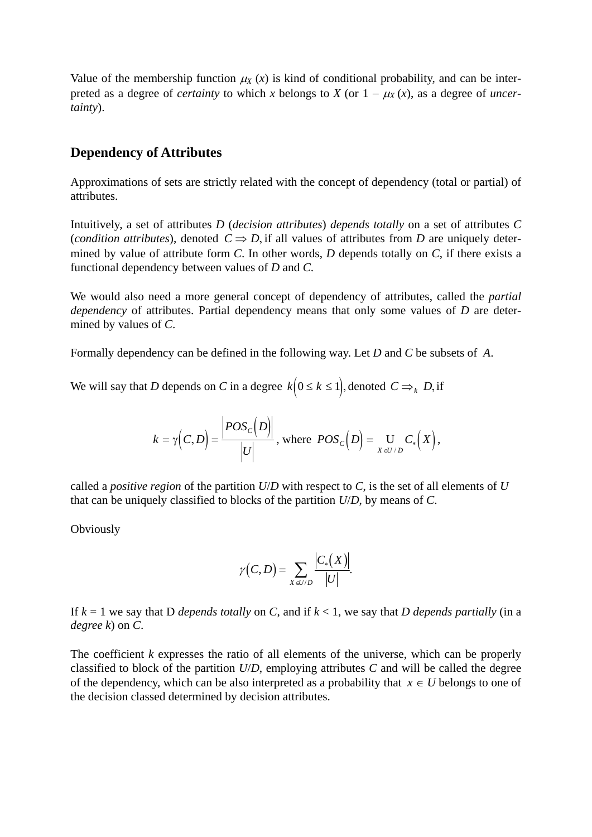Value of the membership function  $\mu_X(x)$  is kind of conditional probability, and can be interpreted as a degree of *certainty* to which *x* belongs to *X* (or  $1 - \mu_X(x)$ , as a degree of *uncertainty*).

#### **Dependency of Attributes**

Approximations of sets are strictly related with the concept of dependency (total or partial) of attributes.

Intuitively, a set of attributes *D* (*decision attributes*) *depends totally* on a set of attributes *C* (*condition attributes*), denoted  $C \Rightarrow D$ , if all values of attributes from *D* are uniquely determined by value of attribute form *C*. In other words, *D* depends totally on *C*, if there exists a functional dependency between values of *D* and *C*.

We would also need a more general concept of dependency of attributes, called the *partial dependency* of attributes. Partial dependency means that only some values of *D* are determined by values of *C*.

Formally dependency can be defined in the following way. Let *D* and *C* be subsets of *A*.

We will say that *D* depends on *C* in a degree  $k(0 \le k \le 1)$ , denoted  $C \Rightarrow_k D$ , if

$$
k = \gamma \Big(C, D\Big) = \frac{\Big| POS_{C}\Big(D\Big)\Big|}{\Big|U\Big|}, \text{ where } POS_{C}\Big(D\Big) = \bigcup_{X \in U/D} C_{*}\Big(X\Big),
$$

called a *positive region* of the partition *U*/*D* with respect to *C*, is the set of all elements of *U* that can be uniquely classified to blocks of the partition *U*/*D*, by means of *C*.

**Obviously** 

$$
\gamma(C,D)=\sum_{X\in U/D}\frac{\left|C_{*}(X)\right|}{\left|U\right|}.
$$

If  $k = 1$  we say that D *depends totally* on *C*, and if  $k < 1$ , we say that D *depends partially* (in a *degree k*) on *C*.

The coefficient *k* expresses the ratio of all elements of the universe, which can be properly classified to block of the partition *U*/*D*, employing attributes *C* and will be called the degree of the dependency, which can be also interpreted as a probability that  $x \in U$  belongs to one of the decision classed determined by decision attributes.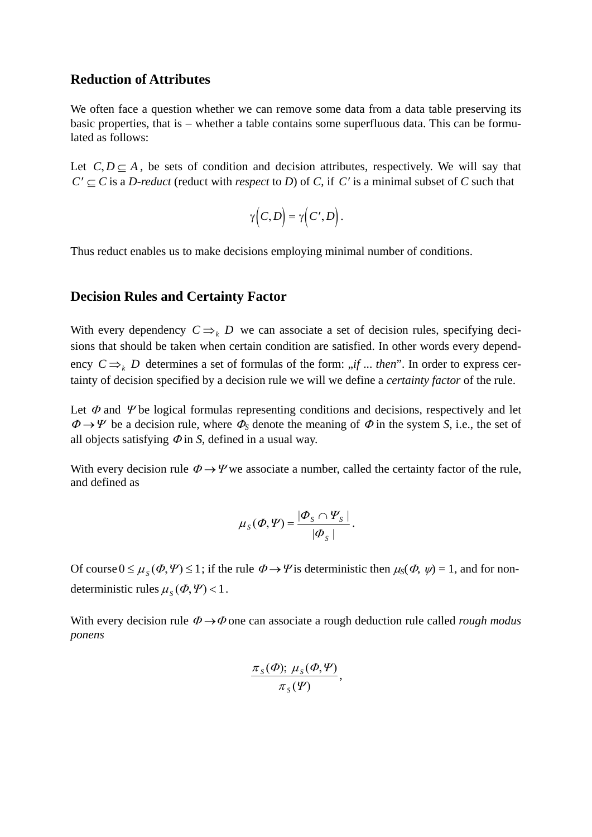### **Reduction of Attributes**

We often face a question whether we can remove some data from a data table preserving its basic properties, that is − whether a table contains some superfluous data. This can be formulated as follows:

Let  $C, D \subseteq A$ , be sets of condition and decision attributes, respectively. We will say that  $C' \subseteq C$  is a *D-reduct* (reduct with *respect* to *D*) of *C*, if *C'* is a minimal subset of *C* such that

$$
\gamma(C,D)=\gamma(C',D).
$$

Thus reduct enables us to make decisions employing minimal number of conditions.

#### **Decision Rules and Certainty Factor**

With every dependency  $C \Rightarrow_k D$  we can associate a set of decision rules, specifying decisions that should be taken when certain condition are satisfied. In other words every dependency  $C \Rightarrow_k D$  determines a set of formulas of the form: "*if* ... *then*". In order to express certainty of decision specified by a decision rule we will we define a *certainty factor* of the rule.

Let  $\Phi$  and  $\Psi$  be logical formulas representing conditions and decisions, respectively and let  $\Phi \rightarrow \Psi$  be a decision rule, where  $\Phi_S$  denote the meaning of  $\Phi$  in the system *S*, i.e., the set of all objects satisfying  $\Phi$  in *S*, defined in a usual way.

With every decision rule  $\Phi \rightarrow \Psi$  we associate a number, called the certainty factor of the rule, and defined as

$$
\mu_{S}(\Phi,\Psi)=\frac{|\Phi_{S}\cap\Psi_{S}|}{|\Phi_{S}|}.
$$

Of course  $0 \le \mu_S(\Phi, \Psi) \le 1$ ; if the rule  $\Phi \to \Psi$  is deterministic then  $\mu_S(\Phi, \psi) = 1$ , and for nondeterministic rules  $\mu_S(\phi, \Psi)$  < 1.

With every decision rule <sup>Φ</sup> →Φ one can associate a rough deduction rule called *rough modus ponens*

$$
\frac{\pi_s(\Phi); \mu_s(\Phi, \Psi)}{\pi_s(\Psi)},
$$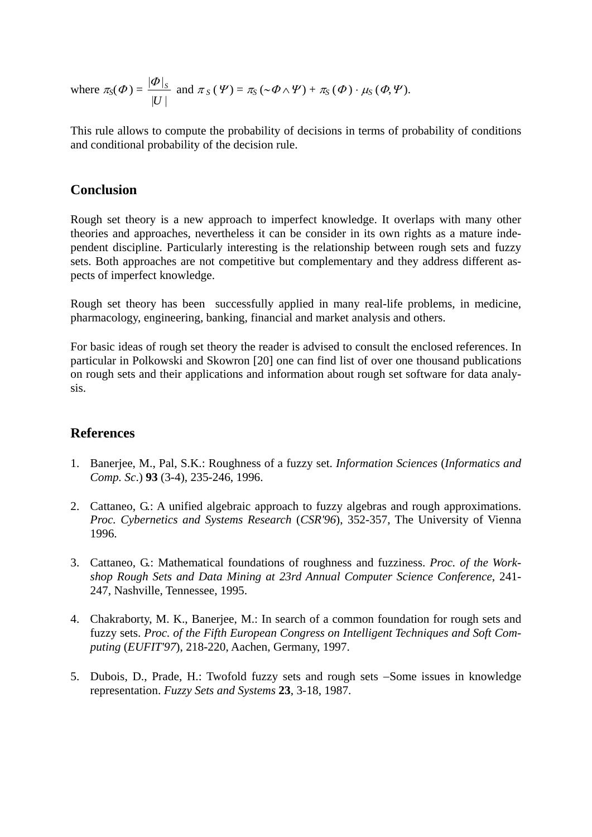where  $\pi_S(\Phi) = \frac{|\Phi|}{\sigma}$  $|U|$  $\left. \varPhi \right| _{S}$ *U* and  $\pi_S(\Psi) = \pi_S(\sim \Phi \wedge \Psi) + \pi_S(\Phi) \cdot \mu_S(\Phi, \Psi)$ .

This rule allows to compute the probability of decisions in terms of probability of conditions and conditional probability of the decision rule.

### **Conclusion**

Rough set theory is a new approach to imperfect knowledge. It overlaps with many other theories and approaches, nevertheless it can be consider in its own rights as a mature independent discipline. Particularly interesting is the relationship between rough sets and fuzzy sets. Both approaches are not competitive but complementary and they address different aspects of imperfect knowledge.

Rough set theory has been successfully applied in many real-life problems, in medicine, pharmacology, engineering, banking, financial and market analysis and others.

For basic ideas of rough set theory the reader is advised to consult the enclosed references. In particular in Polkowski and Skowron [20] one can find list of over one thousand publications on rough sets and their applications and information about rough set software for data analysis.

### **References**

- 1. Banerjee, M., Pal, S.K.: Roughness of a fuzzy set. *Information Sciences* (*Informatics and Comp. Sc*.) **93** (3-4), 235-246, 1996.
- 2. Cattaneo, G.: A unified algebraic approach to fuzzy algebras and rough approximations. *Proc. Cybernetics and Systems Research* (*CSR'96*), 352-357, The University of Vienna 1996.
- 3. Cattaneo, G.: Mathematical foundations of roughness and fuzziness. *Proc. of the Workshop Rough Sets and Data Mining at 23rd Annual Computer Science Conference*, 241- 247, Nashville, Tennessee, 1995.
- 4. Chakraborty, M. K., Banerjee, M.: In search of a common foundation for rough sets and fuzzy sets. *Proc. of the Fifth European Congress on Intelligent Techniques and Soft Computing* (*EUFIT'97*), 218-220, Aachen, Germany, 1997.
- 5. Dubois, D., Prade, H.: Twofold fuzzy sets and rough sets −Some issues in knowledge representation. *Fuzzy Sets and Systems* **23**, 3-18, 1987.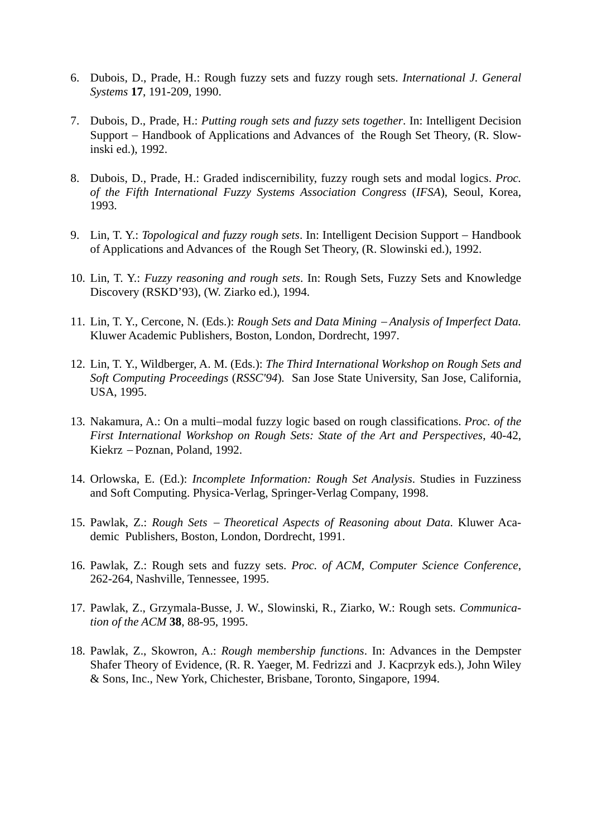- 6. Dubois, D., Prade, H.: Rough fuzzy sets and fuzzy rough sets. *International J. General Systems* **17**, 191-209, 1990.
- 7. Dubois, D., Prade, H.: *Putting rough sets and fuzzy sets together*. In: Intelligent Decision Support − Handbook of Applications and Advances of the Rough Set Theory, (R. Slowinski ed.), 1992.
- 8. Dubois, D., Prade, H.: Graded indiscernibility, fuzzy rough sets and modal logics. *Proc. of the Fifth International Fuzzy Systems Association Congress* (*IFSA*), Seoul, Korea, 1993.
- 9. Lin, T. Y.: *Topological and fuzzy rough sets*. In: Intelligent Decision Support Handbook of Applications and Advances of the Rough Set Theory, (R. Slowinski ed.), 1992.
- 10. Lin, T. Y.: *Fuzzy reasoning and rough sets*. In: Rough Sets, Fuzzy Sets and Knowledge Discovery (RSKD'93), (W. Ziarko ed.), 1994.
- 11. Lin, T. Y., Cercone, N. (Eds.): *Rough Sets and Data Mining* − *Analysis of Imperfect Data.* Kluwer Academic Publishers, Boston, London, Dordrecht, 1997.
- 12. Lin, T. Y., Wildberger, A. M. (Eds.): *The Third International Workshop on Rough Sets and Soft Computing Proceedings* (*RSSC'94*)*.* San Jose State University, San Jose, California, USA, 1995.
- 13. Nakamura, A.: On a multi−modal fuzzy logic based on rough classifications. *Proc. of the First International Workshop on Rough Sets: State of the Art and Perspectives*, 40-42, Kiekrz − Poznan, Poland, 1992.
- 14. Orlowska, E. (Ed.): *Incomplete Information: Rough Set Analysis*. Studies in Fuzziness and Soft Computing. Physica-Verlag, Springer-Verlag Company, 1998.
- 15. Pawlak, Z.: *Rough Sets* − *Theoretical Aspects of Reasoning about Data*. Kluwer Academic Publishers, Boston, London, Dordrecht, 1991.
- 16. Pawlak, Z.: Rough sets and fuzzy sets. *Proc. of ACM, Computer Science Conference*, 262-264, Nashville, Tennessee, 1995.
- 17. Pawlak, Z., Grzymala-Busse, J. W., Slowinski, R., Ziarko, W.: Rough sets. *Communication of the ACM* **38**, 88-95, 1995.
- 18. Pawlak, Z., Skowron, A.: *Rough membership functions*. In: Advances in the Dempster Shafer Theory of Evidence, (R. R. Yaeger, M. Fedrizzi and J. Kacprzyk eds.), John Wiley & Sons, Inc., New York, Chichester, Brisbane, Toronto, Singapore, 1994.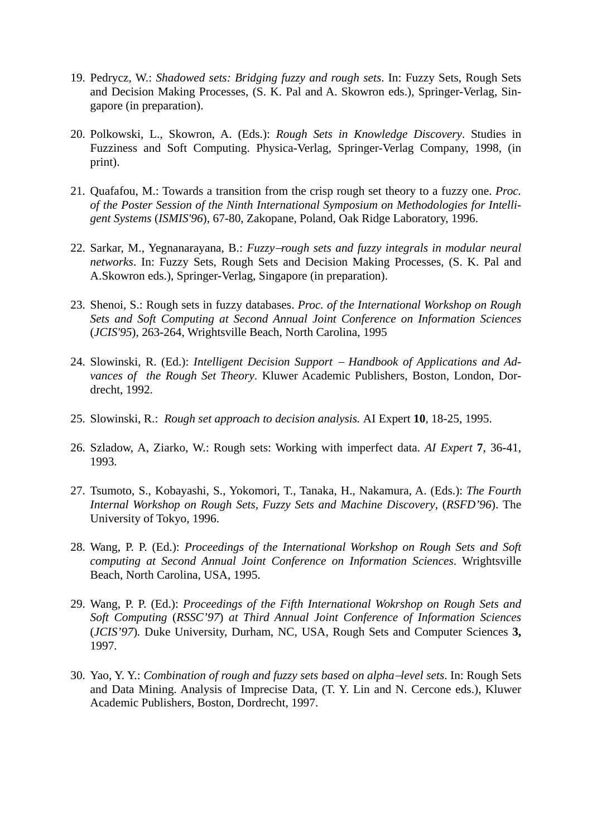- 19. Pedrycz, W.: *Shadowed sets: Bridging fuzzy and rough sets*. In: Fuzzy Sets, Rough Sets and Decision Making Processes, (S. K. Pal and A. Skowron eds.), Springer-Verlag, Singapore (in preparation).
- 20. Polkowski, L., Skowron, A. (Eds.): *Rough Sets in Knowledge Discovery*. Studies in Fuzziness and Soft Computing. Physica-Verlag, Springer-Verlag Company, 1998, (in print).
- 21. Quafafou, M.: Towards a transition from the crisp rough set theory to a fuzzy one. *Proc. of the Poster Session of the Ninth International Symposium on Methodologies for Intelligent Systems* (*ISMIS'96*), 67-80, Zakopane, Poland, Oak Ridge Laboratory, 1996.
- 22. Sarkar, M., Yegnanarayana, B.: *Fuzzy*−*rough sets and fuzzy integrals in modular neural networks*. In: Fuzzy Sets, Rough Sets and Decision Making Processes, (S. K. Pal and A.Skowron eds.), Springer-Verlag, Singapore (in preparation).
- 23. Shenoi, S.: Rough sets in fuzzy databases. *Proc. of the International Workshop on Rough Sets and Soft Computing at Second Annual Joint Conference on Information Sciences* (*JCIS'95*), 263-264, Wrightsville Beach, North Carolina, 1995
- 24. Slowinski, R. (Ed.): *Intelligent Decision Support* − *Handbook of Applications and Advances of the Rough Set Theory*. Kluwer Academic Publishers, Boston, London, Dordrecht, 1992.
- 25. Slowinski, R.: *Rough set approach to decision analysis.* AI Expert **10**, 18-25, 1995.
- 26. Szladow, A, Ziarko, W.: Rough sets: Working with imperfect data. *AI Expert* **7**, 36-41, 1993.
- 27. Tsumoto, S., Kobayashi, S., Yokomori, T., Tanaka, H., Nakamura, A. (Eds.): *The Fourth Internal Workshop on Rough Sets, Fuzzy Sets and Machine Discovery*, (*RSFD'96*). The University of Tokyo, 1996.
- 28. Wang, P. P. (Ed.): *Proceedings of the International Workshop on Rough Sets and Soft computing at Second Annual Joint Conference on Information Sciences*. Wrightsville Beach, North Carolina, USA, 1995.
- 29. Wang, P. P. (Ed.): *Proceedings of the Fifth International Wokrshop on Rough Sets and Soft Computing* (*RSSC'97*) *at Third Annual Joint Conference of Information Sciences*  (*JCIS'97*)*.* Duke University, Durham, NC, USA, Rough Sets and Computer Sciences **3,**  1997.
- 30. Yao, Y. Y.: *Combination of rough and fuzzy sets based on alpha*−*level sets*. In: Rough Sets and Data Mining. Analysis of Imprecise Data, (T. Y. Lin and N. Cercone eds.), Kluwer Academic Publishers, Boston, Dordrecht, 1997.